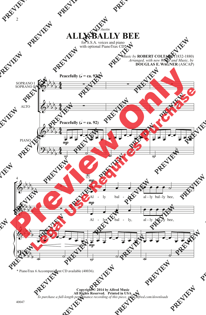## *for Austin* **ALLY BALLY BEE**

for S.S.A. voices and piano with optional PianoTrax CD\*

## *Music by* **ROBERT COLTART** (1832-1880) *Arranged, with new Words and Music, by* **DOUGLAS E. WAGNER** (ASCAP)



\* PianoTrax 6 Accompaniment CD available (40036).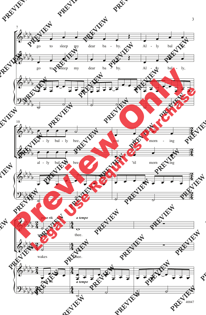

40047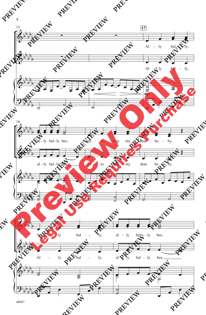

40047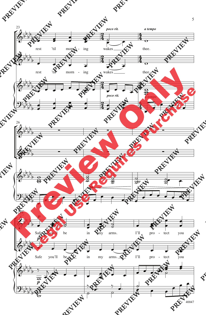![](_page_3_Figure_0.jpeg)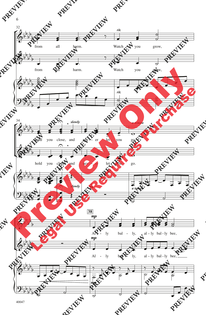![](_page_4_Figure_0.jpeg)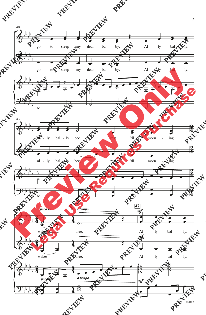![](_page_5_Figure_0.jpeg)

40047